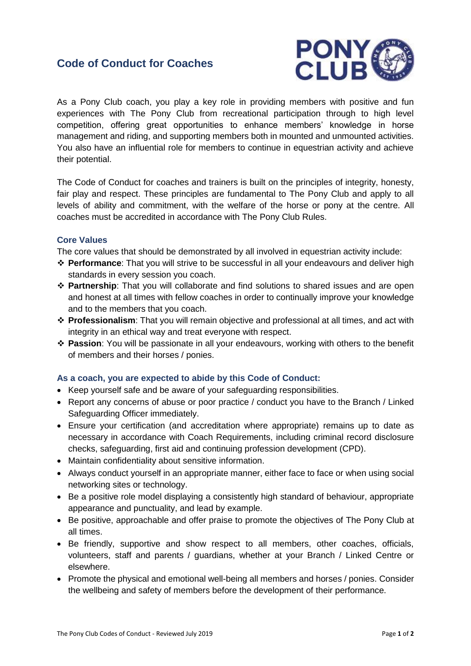## **Code of Conduct for Coaches**



As a Pony Club coach, you play a key role in providing members with positive and fun experiences with The Pony Club from recreational participation through to high level competition, offering great opportunities to enhance members' knowledge in horse management and riding, and supporting members both in mounted and unmounted activities. You also have an influential role for members to continue in equestrian activity and achieve their potential.

The Code of Conduct for coaches and trainers is built on the principles of integrity, honesty, fair play and respect. These principles are fundamental to The Pony Club and apply to all levels of ability and commitment, with the welfare of the horse or pony at the centre. All coaches must be accredited in accordance with The Pony Club Rules.

## **Core Values**

The core values that should be demonstrated by all involved in equestrian activity include:

- ❖ **Performance**: That you will strive to be successful in all your endeavours and deliver high standards in every session you coach.
- ❖ **Partnership**: That you will collaborate and find solutions to shared issues and are open and honest at all times with fellow coaches in order to continually improve your knowledge and to the members that you coach.
- ❖ **Professionalism**: That you will remain objective and professional at all times, and act with integrity in an ethical way and treat everyone with respect.
- ❖ **Passion**: You will be passionate in all your endeavours, working with others to the benefit of members and their horses / ponies.

## **As a coach, you are expected to abide by this Code of Conduct:**

- Keep yourself safe and be aware of your safeguarding responsibilities.
- Report any concerns of abuse or poor practice / conduct you have to the Branch / Linked Safeguarding Officer immediately.
- Ensure your certification (and accreditation where appropriate) remains up to date as necessary in accordance with Coach Requirements, including criminal record disclosure checks, safeguarding, first aid and continuing profession development (CPD).
- Maintain confidentiality about sensitive information.
- Always conduct yourself in an appropriate manner, either face to face or when using social networking sites or technology.
- Be a positive role model displaying a consistently high standard of behaviour, appropriate appearance and punctuality, and lead by example.
- Be positive, approachable and offer praise to promote the objectives of The Pony Club at all times.
- Be friendly, supportive and show respect to all members, other coaches, officials, volunteers, staff and parents / guardians, whether at your Branch / Linked Centre or elsewhere.
- Promote the physical and emotional well-being all members and horses / ponies. Consider the wellbeing and safety of members before the development of their performance.